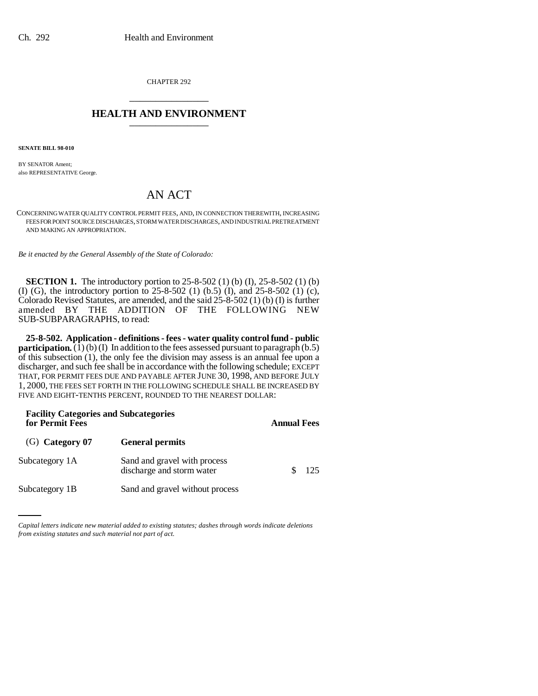CHAPTER 292 \_\_\_\_\_\_\_\_\_\_\_\_\_\_\_

## **HEALTH AND ENVIRONMENT** \_\_\_\_\_\_\_\_\_\_\_\_\_\_\_

**SENATE BILL 98-010**

BY SENATOR Ament; also REPRESENTATIVE George.

## AN ACT

CONCERNING WATER QUALITY CONTROL PERMIT FEES, AND, IN CONNECTION THEREWITH, INCREASING FEES FOR POINT SOURCE DISCHARGES, STORM WATER DISCHARGES, AND INDUSTRIAL PRETREATMENT AND MAKING AN APPROPRIATION.

*Be it enacted by the General Assembly of the State of Colorado:*

**SECTION 1.** The introductory portion to 25-8-502 (1) (b) (I), 25-8-502 (1) (b) (I) (G), the introductory portion to 25-8-502 (1) (b.5) (I), and 25-8-502 (1) (c), Colorado Revised Statutes, are amended, and the said 25-8-502 (1) (b) (I) is further amended BY THE ADDITION OF THE FOLLOWING NEW SUB-SUBPARAGRAPHS, to read:

**25-8-502. Application - definitions - fees - water quality control fund - public participation.**  $(1)(b)(I)$  In addition to the fees assessed pursuant to paragraph  $(b.5)$ of this subsection (1), the only fee the division may assess is an annual fee upon a discharger, and such fee shall be in accordance with the following schedule; EXCEPT THAT, FOR PERMIT FEES DUE AND PAYABLE AFTER JUNE 30, 1998, AND BEFORE JULY 1, 2000, THE FEES SET FORTH IN THE FOLLOWING SCHEDULE SHALL BE INCREASED BY FIVE AND EIGHT-TENTHS PERCENT, ROUNDED TO THE NEAREST DOLLAR:

| <b>Facility Categories and Subcategories</b><br>for Permit Fees |                                                           | <b>Annual Fees</b> |
|-----------------------------------------------------------------|-----------------------------------------------------------|--------------------|
| $(G)$ Category 07                                               | <b>General permits</b>                                    |                    |
| Subcategory 1A                                                  | Sand and gravel with process<br>discharge and storm water | 125                |
| Subcategory 1B                                                  | Sand and gravel without process                           |                    |

*Capital letters indicate new material added to existing statutes; dashes through words indicate deletions from existing statutes and such material not part of act.*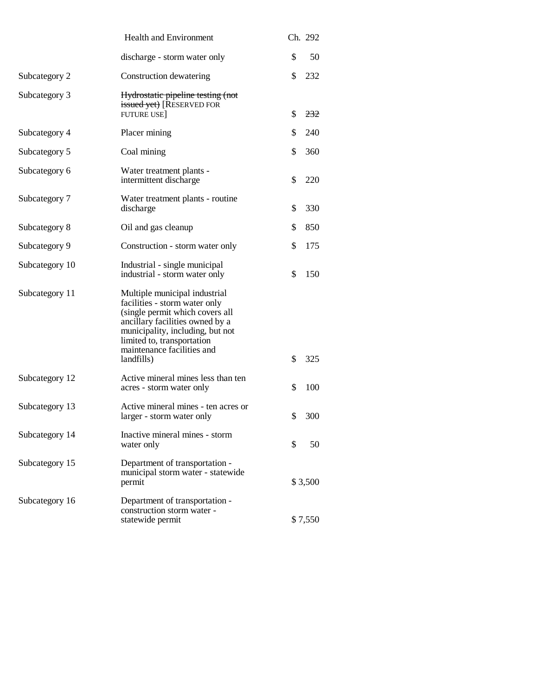|                | <b>Health and Environment</b>                                                                                                                                                                                                                      | Ch. 292   |
|----------------|----------------------------------------------------------------------------------------------------------------------------------------------------------------------------------------------------------------------------------------------------|-----------|
|                | discharge - storm water only                                                                                                                                                                                                                       | \$<br>50  |
| Subcategory 2  | Construction dewatering                                                                                                                                                                                                                            | \$<br>232 |
| Subcategory 3  | Hydrostatic pipeline testing (not<br>issued yet) [RESERVED FOR<br><b>FUTURE USE</b>                                                                                                                                                                | \$<br>232 |
| Subcategory 4  | Placer mining                                                                                                                                                                                                                                      | \$<br>240 |
| Subcategory 5  | Coal mining                                                                                                                                                                                                                                        | \$<br>360 |
| Subcategory 6  | Water treatment plants -<br>intermittent discharge                                                                                                                                                                                                 | \$<br>220 |
| Subcategory 7  | Water treatment plants - routine<br>discharge                                                                                                                                                                                                      | \$<br>330 |
| Subcategory 8  | Oil and gas cleanup                                                                                                                                                                                                                                | \$<br>850 |
| Subcategory 9  | Construction - storm water only                                                                                                                                                                                                                    | \$<br>175 |
| Subcategory 10 | Industrial - single municipal<br>industrial - storm water only                                                                                                                                                                                     | \$<br>150 |
| Subcategory 11 | Multiple municipal industrial<br>facilities - storm water only<br>(single permit which covers all<br>ancillary facilities owned by a<br>municipality, including, but not<br>limited to, transportation<br>maintenance facilities and<br>landfills) | \$<br>325 |
| Subcategory 12 | Active mineral mines less than ten<br>acres - storm water only                                                                                                                                                                                     | \$<br>100 |
| Subcategory 13 | Active mineral mines - ten acres or<br>larger - storm water only                                                                                                                                                                                   | \$<br>300 |
| Subcategory 14 | Inactive mineral mines - storm<br>water only                                                                                                                                                                                                       | \$<br>50  |
| Subcategory 15 | Department of transportation -<br>municipal storm water - statewide<br>permit                                                                                                                                                                      | \$3,500   |
| Subcategory 16 | Department of transportation -<br>construction storm water -<br>statewide permit                                                                                                                                                                   | \$7,550   |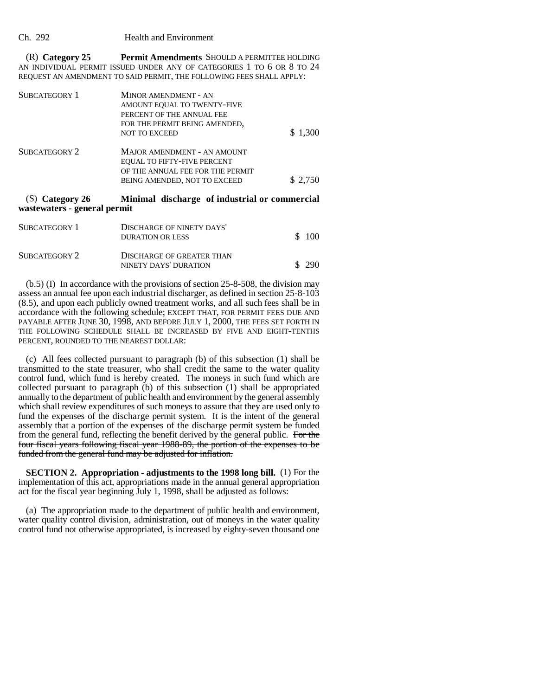Ch. 292 Health and Environment

(R) **Category 25 Permit Amendments** SHOULD A PERMITTEE HOLDING AN INDIVIDUAL PERMIT ISSUED UNDER ANY OF CATEGORIES 1 TO 6 OR 8 TO 24 REQUEST AN AMENDMENT TO SAID PERMIT, THE FOLLOWING FEES SHALL APPLY:

| <b>SUBCATEGORY 1</b> | MINOR AMENDMENT - AN               |         |
|----------------------|------------------------------------|---------|
|                      | AMOUNT EQUAL TO TWENTY-FIVE        |         |
|                      | PERCENT OF THE ANNUAL FEE          |         |
|                      | FOR THE PERMIT BEING AMENDED.      |         |
|                      | <b>NOT TO EXCEED</b>               | \$1,300 |
| SUBCATEGORY 2        | MAJOR AMENDMENT - AN AMOUNT        |         |
|                      | <b>EQUAL TO FIFTY-FIVE PERCENT</b> |         |
|                      | OF THE ANNUAL FEE FOR THE PERMIT   |         |
|                      | BEING AMENDED, NOT TO EXCEED       | \$2,750 |

## (S) **Category 26 Minimal discharge of industrial or commercial wastewaters - general permit**

| SUBCATEGORY 1 | DISCHARGE OF NINETY DAYS'<br>DURATION OR LESS      | \$100  |
|---------------|----------------------------------------------------|--------|
| SUBCATEGORY 2 | DISCHARGE OF GREATER THAN<br>NINETY DAYS' DURATION | \$ 290 |

(b.5) (I) In accordance with the provisions of section 25-8-508, the division may assess an annual fee upon each industrial discharger, as defined in section 25-8-103 (8.5), and upon each publicly owned treatment works, and all such fees shall be in accordance with the following schedule; EXCEPT THAT, FOR PERMIT FEES DUE AND PAYABLE AFTER JUNE 30, 1998, AND BEFORE JULY 1, 2000, THE FEES SET FORTH IN THE FOLLOWING SCHEDULE SHALL BE INCREASED BY FIVE AND EIGHT-TENTHS PERCENT, ROUNDED TO THE NEAREST DOLLAR:

(c) All fees collected pursuant to paragraph (b) of this subsection (1) shall be transmitted to the state treasurer, who shall credit the same to the water quality control fund, which fund is hereby created. The moneys in such fund which are collected pursuant to paragraph (b) of this subsection (1) shall be appropriated annually to the department of public health and environment by the general assembly which shall review expenditures of such moneys to assure that they are used only to fund the expenses of the discharge permit system. It is the intent of the general assembly that a portion of the expenses of the discharge permit system be funded from the general fund, reflecting the benefit derived by the general public. For the four fiscal years following fiscal year 1988-89, the portion of the expenses to be funded from the general fund may be adjusted for inflation.

**SECTION 2. Appropriation - adjustments to the 1998 long bill.** (1) For the implementation of this act, appropriations made in the annual general appropriation act for the fiscal year beginning July 1, 1998, shall be adjusted as follows:

(a) The appropriation made to the department of public health and environment, water quality control division, administration, out of moneys in the water quality control fund not otherwise appropriated, is increased by eighty-seven thousand one